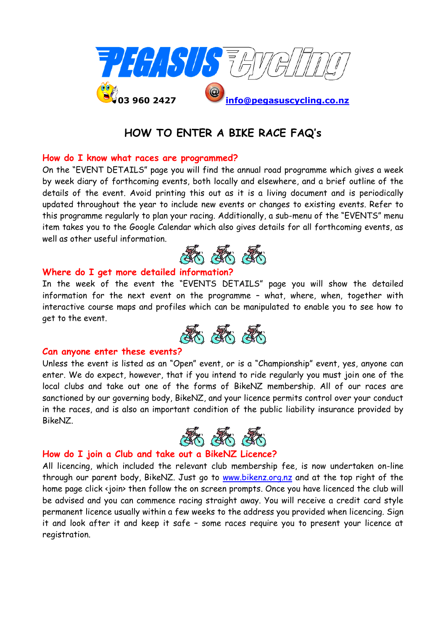

# **HOW TO ENTER A BIKE RACE FAQ's**

### **How do I know what races are programmed?**

On the "EVENT DETAILS" page you will find the annual road programme which gives a week by week diary of forthcoming events, both locally and elsewhere, and a brief outline of the details of the event. Avoid printing this out as it is a living document and is periodically updated throughout the year to include new events or changes to existing events. Refer to this programme regularly to plan your racing. Additionally, a sub-menu of the "EVENTS" menu item takes you to the Google Calendar which also gives details for all forthcoming events, as well as other useful information.



#### **Where do I get more detailed information?**

In the week of the event the "EVENTS DETAILS" page you will show the detailed information for the next event on the programme – what, where, when, together with interactive course maps and profiles which can be manipulated to enable you to see how to get to the event.



#### **Can anyone enter these events?**

Unless the event is listed as an "Open" event, or is a "Championship" event, yes, anyone can enter. We do expect, however, that if you intend to ride regularly you must join one of the local clubs and take out one of the forms of BikeNZ membership. All of our races are sanctioned by our governing body, BikeNZ, and your licence permits control over your conduct in the races, and is also an important condition of the public liability insurance provided by BikeNZ.



## **How do I join a Club and take out a BikeNZ Licence?**

All licencing, which included the relevant club membership fee, is now undertaken on-line through our parent body, BikeNZ. Just go to [www.bikenz.org.nz](http://www.bikenz.org.nz/) and at the top right of the home page click <join> then follow the on screen prompts. Once you have licenced the club will be advised and you can commence racing straight away. You will receive a credit card style permanent licence usually within a few weeks to the address you provided when licencing. Sign it and look after it and keep it safe – some races require you to present your licence at registration.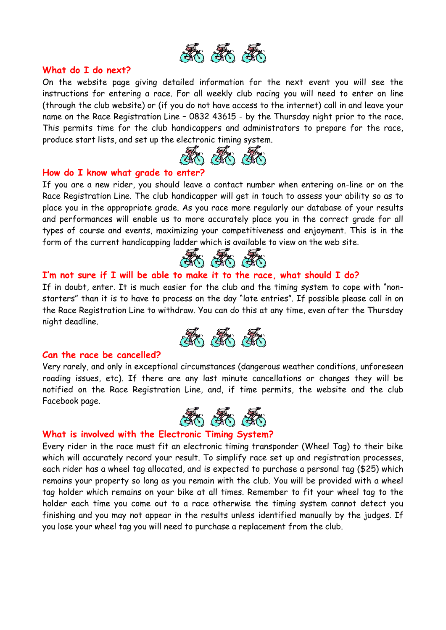

#### **What do I do next?**

On the website page giving detailed information for the next event you will see the instructions for entering a race. For all weekly club racing you will need to enter on line (through the club website) or (if you do not have access to the internet) call in and leave your name on the Race Registration Line – 0832 43615 - by the Thursday night prior to the race. This permits time for the club handicappers and administrators to prepare for the race, produce start lists, and set up the electronic timing system.



#### **How do I know what grade to enter?**

If you are a new rider, you should leave a contact number when entering on-line or on the Race Registration Line. The club handicapper will get in touch to assess your ability so as to place you in the appropriate grade. As you race more regularly our database of your results and performances will enable us to more accurately place you in the correct grade for all types of course and events, maximizing your competitiveness and enjoyment. This is in the form of the current handicapping ladder which is available to view on the web site.



## **I'm not sure if I will be able to make it to the race, what should I do?**

If in doubt, enter. It is much easier for the club and the timing system to cope with "nonstarters" than it is to have to process on the day "late entries". If possible please call in on the Race Registration Line to withdraw. You can do this at any time, even after the Thursday night deadline.



### **Can the race be cancelled?**

Very rarely, and only in exceptional circumstances (dangerous weather conditions, unforeseen roading issues, etc). If there are any last minute cancellations or changes they will be notified on the Race Registration Line, and, if time permits, the website and the club Facebook page.



### **What is involved with the Electronic Timing System?**

Every rider in the race must fit an electronic timing transponder (Wheel Tag) to their bike which will accurately record your result. To simplify race set up and registration processes, each rider has a wheel tag allocated, and is expected to purchase a personal tag (\$25) which remains your property so long as you remain with the club. You will be provided with a wheel tag holder which remains on your bike at all times. Remember to fit your wheel tag to the holder each time you come out to a race otherwise the timing system cannot detect you finishing and you may not appear in the results unless identified manually by the judges. If you lose your wheel tag you will need to purchase a replacement from the club.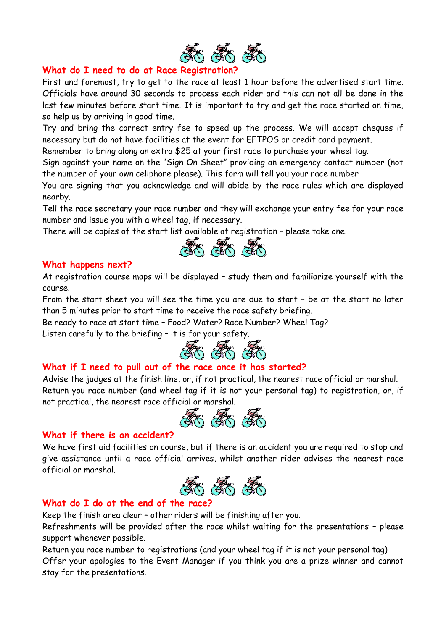

## **What do I need to do at Race Registration?**

First and foremost, try to get to the race at least 1 hour before the advertised start time. Officials have around 30 seconds to process each rider and this can not all be done in the last few minutes before start time. It is important to try and get the race started on time, so help us by arriving in good time.

Try and bring the correct entry fee to speed up the process. We will accept cheques if necessary but do not have facilities at the event for EFTPOS or credit card payment.

Remember to bring along an extra \$25 at your first race to purchase your wheel tag.

Sign against your name on the "Sign On Sheet" providing an emergency contact number (not the number of your own cellphone please). This form will tell you your race number

You are signing that you acknowledge and will abide by the race rules which are displayed nearby.

Tell the race secretary your race number and they will exchange your entry fee for your race number and issue you with a wheel tag, if necessary.

There will be copies of the start list available at registration – please take one.



## **What happens next?**

At registration course maps will be displayed – study them and familiarize yourself with the course.

From the start sheet you will see the time you are due to start – be at the start no later than 5 minutes prior to start time to receive the race safety briefing.

Be ready to race at start time – Food? Water? Race Number? Wheel Tag? Listen carefully to the briefing – it is for your safety.



## **What if I need to pull out of the race once it has started?**

Advise the judges at the finish line, or, if not practical, the nearest race official or marshal. Return you race number (and wheel tag if it is not your personal tag) to registration, or, if not practical, the nearest race official or marshal.



### **What if there is an accident?**

We have first aid facilities on course, but if there is an accident you are required to stop and give assistance until a race official arrives, whilst another rider advises the nearest race official or marshal.



## **What do I do at the end of the race?**

Keep the finish area clear – other riders will be finishing after you.

Refreshments will be provided after the race whilst waiting for the presentations – please support whenever possible.

Return you race number to registrations (and your wheel tag if it is not your personal tag) Offer your apologies to the Event Manager if you think you are a prize winner and cannot stay for the presentations.